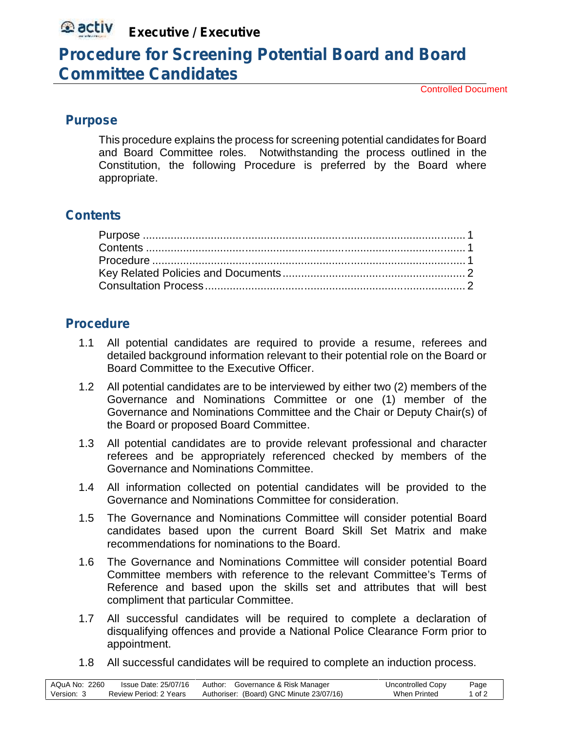# **Executive / Executive**

## **Procedure for Screening Potential Board and Board Committee Candidates**

Controlled Document

#### **Purpose**

This procedure explains the process for screening potential candidates for Board and Board Committee roles. Notwithstanding the process outlined in the Constitution, the following Procedure is preferred by the Board where appropriate.

### **Contents**

### **Procedure**

- 1.1 All potential candidates are required to provide a resume, referees and detailed background information relevant to their potential role on the Board or Board Committee to the Executive Officer.
- 1.2 All potential candidates are to be interviewed by either two (2) members of the Governance and Nominations Committee or one (1) member of the Governance and Nominations Committee and the Chair or Deputy Chair(s) of the Board or proposed Board Committee.
- 1.3 All potential candidates are to provide relevant professional and character referees and be appropriately referenced checked by members of the Governance and Nominations Committee.
- 1.4 All information collected on potential candidates will be provided to the Governance and Nominations Committee for consideration.
- 1.5 The Governance and Nominations Committee will consider potential Board candidates based upon the current Board Skill Set Matrix and make recommendations for nominations to the Board.
- 1.6 The Governance and Nominations Committee will consider potential Board Committee members with reference to the relevant Committee's Terms of Reference and based upon the skills set and attributes that will best compliment that particular Committee.
- 1.7 All successful candidates will be required to complete a declaration of disqualifying offences and provide a National Police Clearance Form prior to appointment.
- 1.8 All successful candidates will be required to complete an induction process.